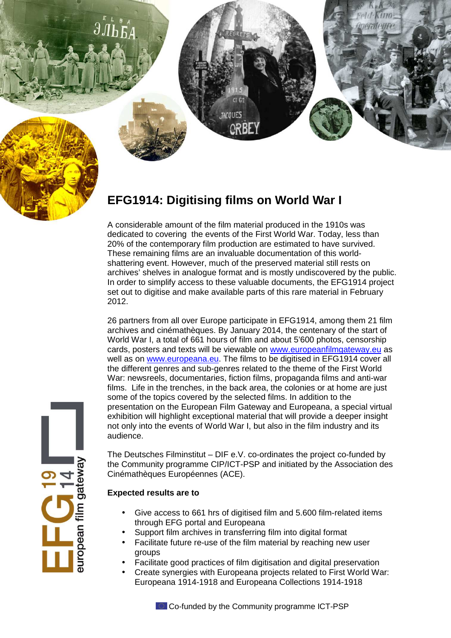

# **EFG1914: Digitising films on World War I**

**TACQUES** 

A considerable amount of the film material produced in the 1910s was dedicated to covering the events of the First World War. Today, less than 20% of the contemporary film production are estimated to have survived. These remaining films are an invaluable documentation of this worldshattering event. However, much of the preserved material still rests on archives' shelves in analogue format and is mostly undiscovered by the public. In order to simplify access to these valuable documents, the EFG1914 project set out to digitise and make available parts of this rare material in February 2012.

26 partners from all over Europe participate in EFG1914, among them 21 film archives and cinémathèques. By January 2014, the centenary of the start of World War I, a total of 661 hours of film and about 5'600 photos, censorship cards, posters and texts will be viewable on www.europeanfilmgateway.eu as well as on www.europeana.eu. The films to be digitised in EFG1914 cover all the different genres and sub-genres related to the theme of the First World War: newsreels, documentaries, fiction films, propaganda films and anti-war films. Life in the trenches, in the back area, the colonies or at home are just some of the topics covered by the selected films. In addition to the presentation on the European Film Gateway and Europeana, a special virtual exhibition will highlight exceptional material that will provide a deeper insight not only into the events of World War I, but also in the film industry and its audience.

The Deutsches Filminstitut – DIF e.V. co-ordinates the project co-funded by the Community programme CIP/ICT-PSP and initiated by the Association des Cinémathèques Européennes (ACE).

### **Expected results are to**

- Give access to 661 hrs of digitised film and 5.600 film-related items through EFG portal and Europeana
- Support film archives in transferring film into digital format
- Facilitate future re-use of the film material by reaching new user groups
- Facilitate good practices of film digitisation and digital preservation
- Create synergies with Europeana projects related to First World War: Europeana 1914-1918 and Europeana Collections 1914-1918